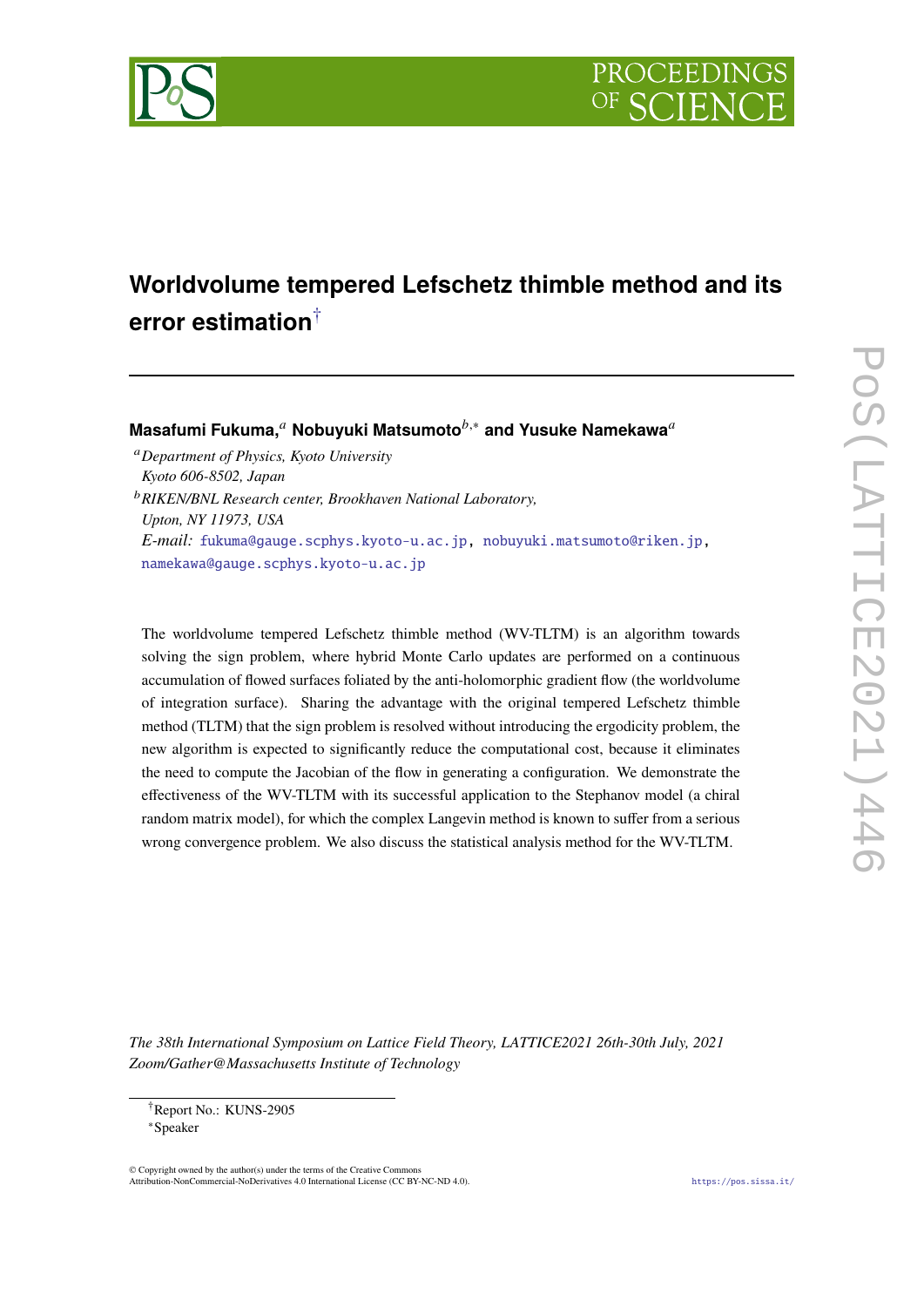

# **Worldvolume tempered Lefschetz thimble method and its error estimation**†

**Masafumi Fukuma,**<sup>*a*</sup> Nobuyuki Matsumoto<sup>*b*,∗</sup> and Yusuke Namekawa<sup>*a*</sup>

*Department of Physics, Kyoto University Kyoto 606-8502, Japan*

*RIKEN/BNL Research center, Brookhaven National Laboratory, Upton, NY 11973, USA E-mail:* fukuma@gauge.scphys.kyoto-u.ac.jp, nobuyuki.matsumoto@riken.jp, namekawa@gauge.scphys.kyoto-u.ac.jp

The worldvolume tempered Lefschetz thimble method (WV-TLTM) is an algorithm towards solving the sign problem, where hybrid Monte Carlo updates are performed on a continuous accumulation of flowed surfaces foliated by the anti-holomorphic gradient flow (the worldvolume of integration surface). Sharing the advantage with the original tempered Lefschetz thimble method (TLTM) that the sign problem is resolved without introducing the ergodicity problem, the new algorithm is expected to significantly reduce the computational cost, because it eliminates the need to compute the Jacobian of the flow in generating a configuration. We demonstrate the effectiveness of the WV-TLTM with its successful application to the Stephanov model (a chiral random matrix model), for which the complex Langevin method is known to suffer from a serious wrong convergence problem. We also discuss the statistical analysis method for the WV-TLTM.

*The 38th International Symposium on Lattice Field Theory, LATTICE2021 26th-30th July, 2021 Zoom/Gather@Massachusetts Institute of Technology*

 $\odot$  Copyright owned by the author(s) under the terms of the Creative Common Attribution-NonCommercial-NoDerivatives 4.0 International License (CC BY-NC-ND 4.0). https://pos.sissa.it/

<sup>†</sup>Report No.: KUNS-2905

<sup>∗</sup>Speaker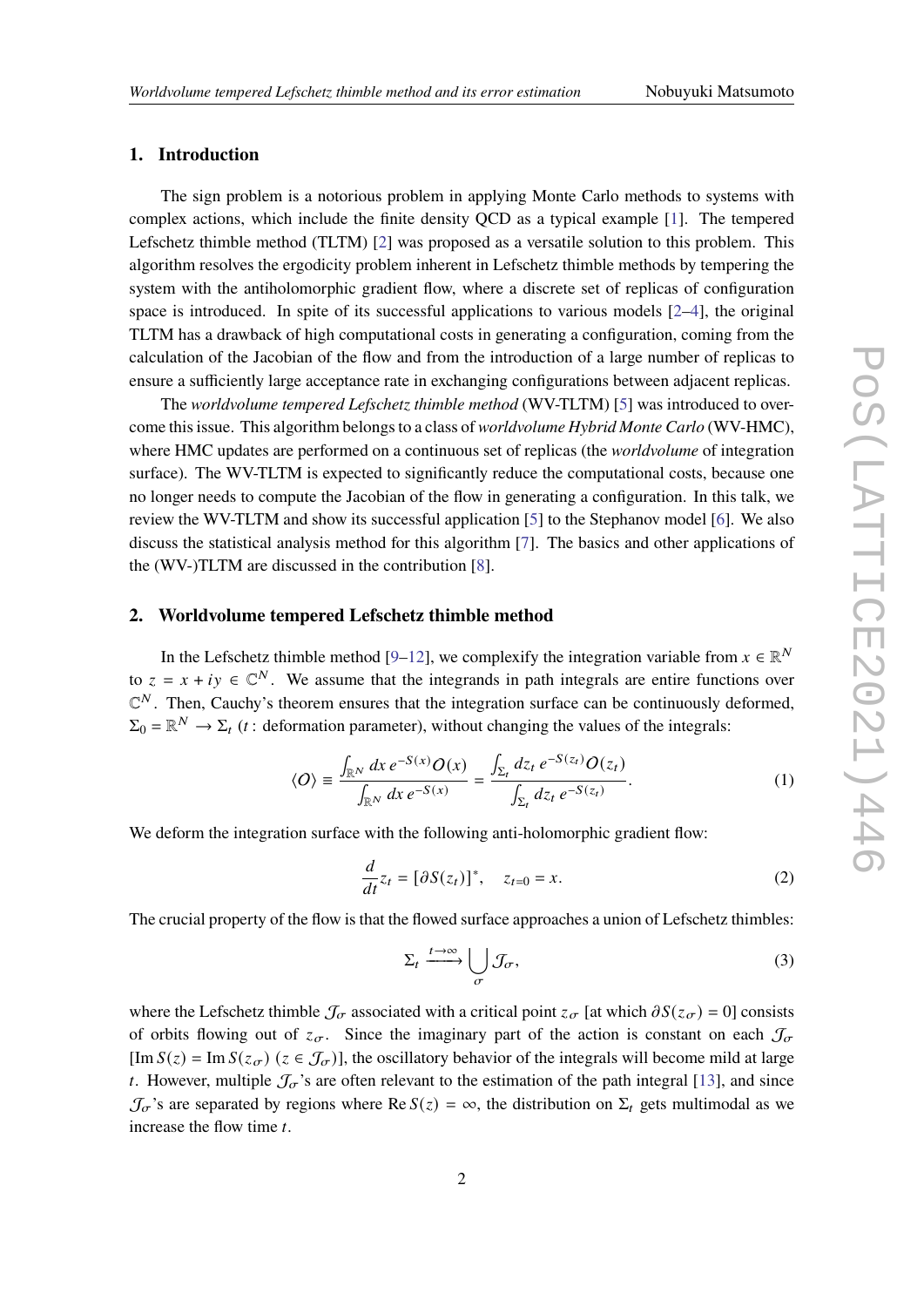# **1. Introduction**

The sign problem is a notorious problem in applying Monte Carlo methods to systems with complex actions, which include the finite density QCD as a typical example [1]. The tempered Lefschetz thimble method (TLTM) [2] was proposed as a versatile solution to this problem. This algorithm resolves the ergodicity problem inherent in Lefschetz thimble methods by tempering the system with the antiholomorphic gradient flow, where a discrete set of replicas of configuration space is introduced. In spite of its successful applications to various models  $[2-4]$ , the original TLTM has a drawback of high computational costs in generating a configuration, coming from the calculation of the Jacobian of the flow and from the introduction of a large number of replicas to ensure a sufficiently large acceptance rate in exchanging configurations between adjacent replicas.

The *worldvolume tempered Lefschetz thimble method* (WV-TLTM) [5] was introduced to overcome this issue. This algorithm belongs to a class of *worldvolume Hybrid Monte Carlo* (WV-HMC), where HMC updates are performed on a continuous set of replicas (the *worldvolume* of integration surface). The WV-TLTM is expected to significantly reduce the computational costs, because one no longer needs to compute the Jacobian of the flow in generating a configuration. In this talk, we review the WV-TLTM and show its successful application [5] to the Stephanov model [6]. We also discuss the statistical analysis method for this algorithm [7]. The basics and other applications of the (WV-)TLTM are discussed in the contribution [8].

#### **2. Worldvolume tempered Lefschetz thimble method**

In the Lefschetz thimble method [9–12], we complexify the integration variable from  $x \in \mathbb{R}^N$ to  $z = x + iy \in \mathbb{C}^N$ . We assume that the integrands in path integrals are entire functions over  $\mathbb{C}^N$ . Then, Cauchy's theorem ensures that the integration surface can be continuously deformed,  $\Sigma_0 = \mathbb{R}^N \to \Sigma_t$  (*t*: deformation parameter), without changing the values of the integrals:

$$
\langle O \rangle \equiv \frac{\int_{\mathbb{R}^N} dx \, e^{-S(x)} O(x)}{\int_{\mathbb{R}^N} dx \, e^{-S(x)}} = \frac{\int_{\Sigma_t} dz_t \, e^{-S(z_t)} O(z_t)}{\int_{\Sigma_t} dz_t \, e^{-S(z_t)}}.
$$
 (1)

We deform the integration surface with the following anti-holomorphic gradient flow:

$$
\frac{d}{dt}z_t = [\partial S(z_t)]^*, \quad z_{t=0} = x.
$$
\n(2)

The crucial property of the flow is that the flowed surface approaches a union of Lefschetz thimbles:

$$
\Sigma_t \xrightarrow{t \to \infty} \bigcup_{\sigma} \mathcal{J}_{\sigma},\tag{3}
$$

where the Lefschetz thimble  $\mathcal{J}_{\sigma}$  associated with a critical point  $z_{\sigma}$  [at which  $\partial S(z_{\sigma}) = 0$ ] consists of orbits flowing out of  $z_{\sigma}$ . Since the imaginary part of the action is constant on each  $\mathcal{J}_{\sigma}$  $[\text{Im } S(z) = \text{Im } S(z_{\sigma})$  ( $z \in \mathcal{J}_{\sigma}$ )], the oscillatory behavior of the integrals will become mild at large t. However, multiple  $\mathcal{J}_{\sigma}$ 's are often relevant to the estimation of the path integral [13], and since  $\mathcal{J}_{\sigma}$ 's are separated by regions where Re  $S(z) = \infty$ , the distribution on  $\Sigma_t$  gets multimodal as we increase the flow time  $t$ .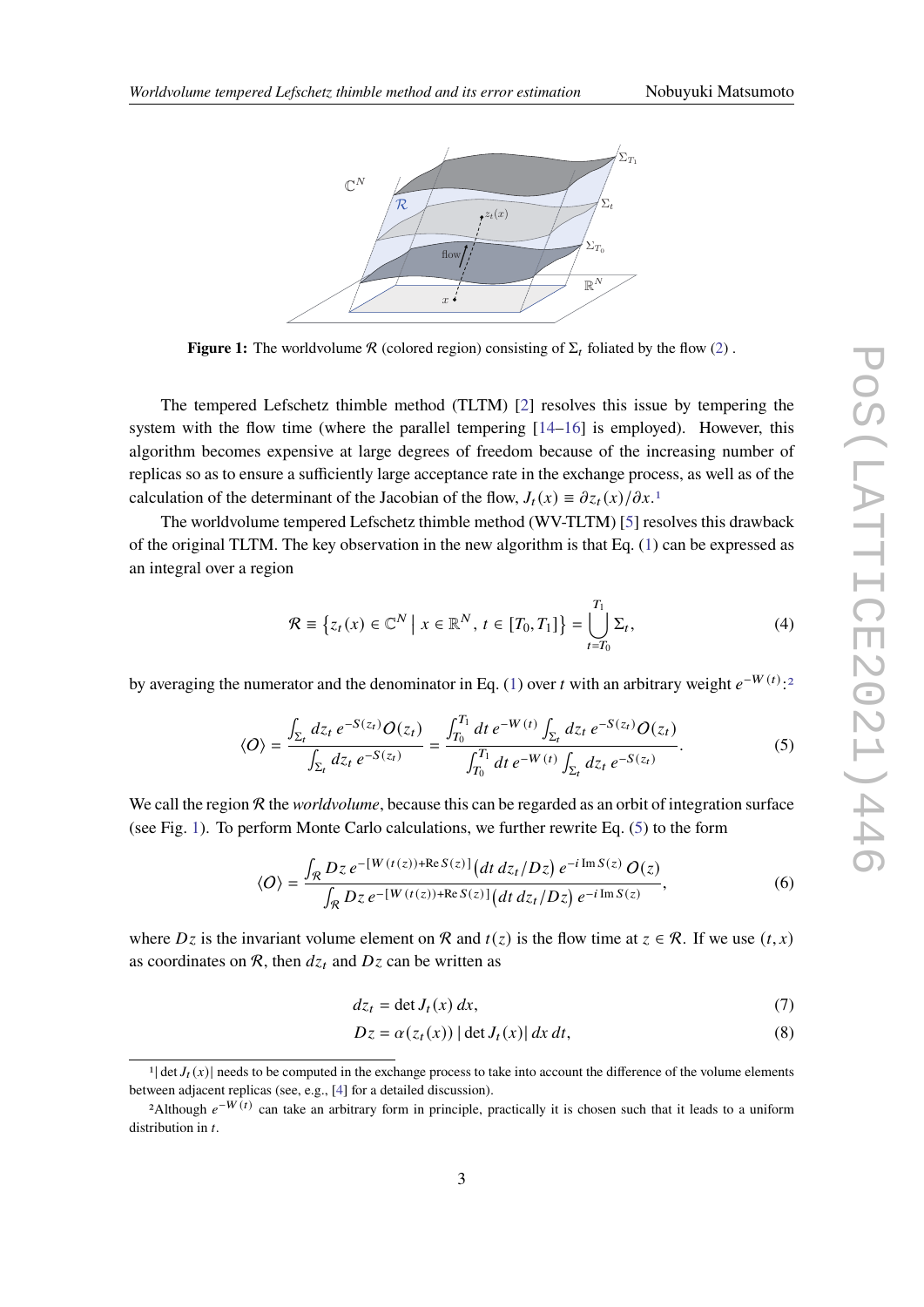

**Figure 1:** The worldvolume R (colored region) consisting of  $\Sigma_t$  foliated by the flow (2).

The tempered Lefschetz thimble method (TLTM) [2] resolves this issue by tempering the system with the flow time (where the parallel tempering  $[14–16]$  is employed). However, this algorithm becomes expensive at large degrees of freedom because of the increasing number of replicas so as to ensure a sufficiently large acceptance rate in the exchange process, as well as of the calculation of the determinant of the Jacobian of the flow,  $J_t(x) = \partial z_t(x)/\partial x$ .<sup>1</sup>

The worldvolume tempered Lefschetz thimble method (WV-TLTM) [5] resolves this drawback of the original TLTM. The key observation in the new algorithm is that Eq. (1) can be expressed as an integral over a region

$$
\mathcal{R} \equiv \left\{ z_t(x) \in \mathbb{C}^N \mid x \in \mathbb{R}^N, t \in [T_0, T_1] \right\} = \bigcup_{t = T_0}^{T_1} \Sigma_t,
$$
\n(4)

by averaging the numerator and the denominator in Eq. (1) over t with an arbitrary weight  $e^{-W(t)}$ :<sup>2</sup>

$$
\langle O \rangle = \frac{\int_{\Sigma_t} dz_t \, e^{-S(z_t)} O(z_t)}{\int_{\Sigma_t} dz_t \, e^{-S(z_t)}} = \frac{\int_{T_0}^{T_1} dt \, e^{-W(t)} \int_{\Sigma_t} dz_t \, e^{-S(z_t)} O(z_t)}{\int_{T_0}^{T_1} dt \, e^{-W(t)} \int_{\Sigma_t} dz_t \, e^{-S(z_t)}}.
$$
 (5)

We call the region R the *worldvolume*, because this can be regarded as an orbit of integration surface (see Fig. 1). To perform Monte Carlo calculations, we further rewrite Eq. (5) to the form

$$
\langle O \rangle = \frac{\int_{\mathcal{R}} Dz \, e^{-[W(t(z)) + \text{Re}\, S(z)]} \left( dt \, dz_t / Dz \right) e^{-i \, \text{Im}\, S(z)} \, O(z)}{\int_{\mathcal{R}} Dz \, e^{-[W(t(z)) + \text{Re}\, S(z)]} \left( dt \, dz_t / Dz \right) e^{-i \, \text{Im}\, S(z)}},\tag{6}
$$

where  $Dz$  is the invariant volume element on R and  $t(z)$  is the flow time at  $z \in \mathcal{R}$ . If we use  $(t, x)$ as coordinates on  $\mathcal{R}$ , then  $dz_t$  and  $Dz$  can be written as

$$
dz_t = \det J_t(x) \, dx,\tag{7}
$$

$$
Dz = \alpha(z_t(x)) |\det J_t(x)| dx dt,
$$
\n(8)

<sup>&</sup>lt;sup>1</sup> det  $J_t(x)$  needs to be computed in the exchange process to take into account the difference of the volume elements between adjacent replicas (see, e.g., [4] for a detailed discussion).

<sup>&</sup>lt;sup>2</sup>Although  $e^{-W(t)}$  can take an arbitrary form in principle, practically it is chosen such that it leads to a uniform distribution in  $t$ .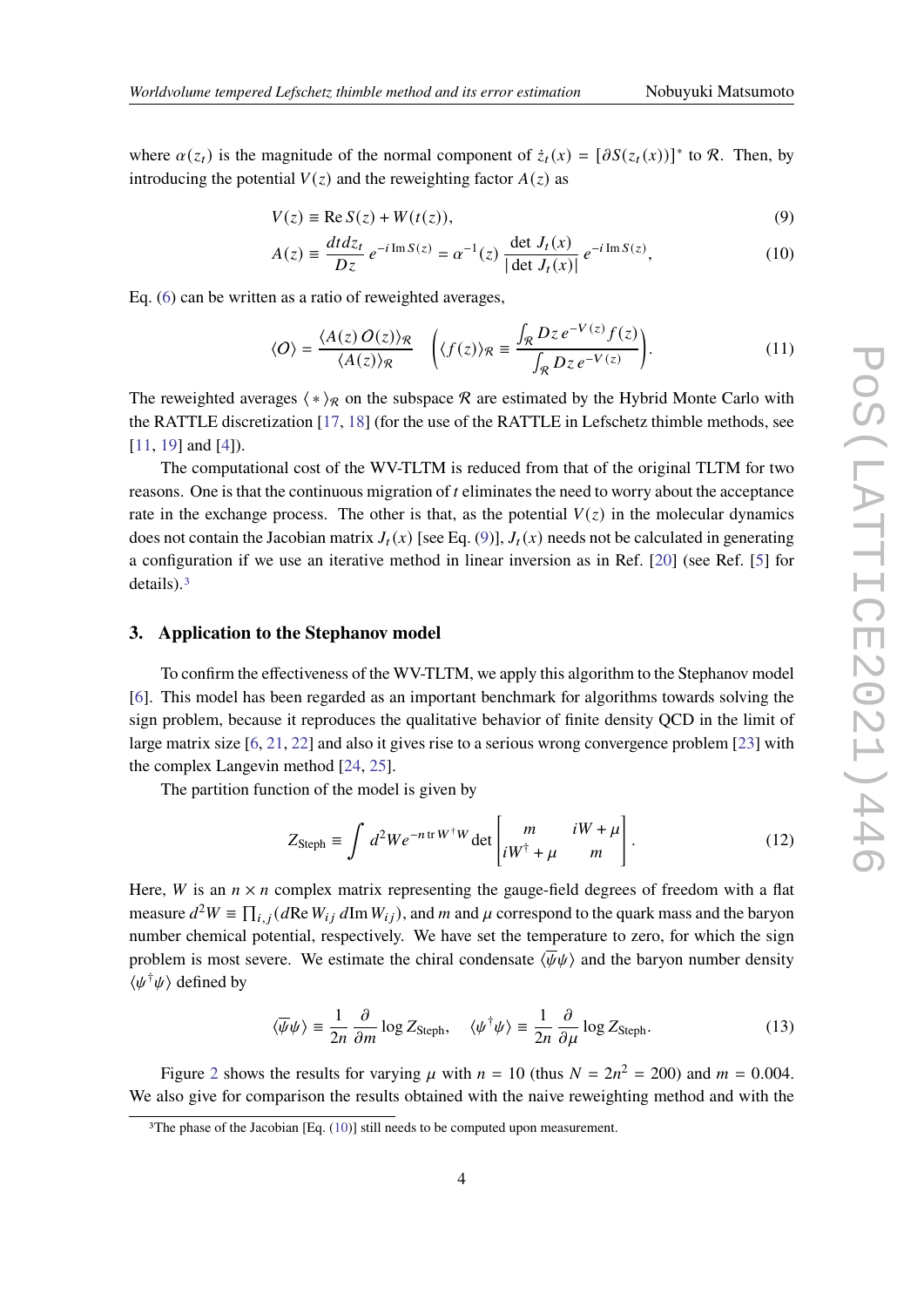where  $\alpha(z_t)$  is the magnitude of the normal component of  $\dot{z}_t(x) = [\partial S(z_t(x))]^*$  to R. Then, by introducing the potential  $V(z)$  and the reweighting factor  $A(z)$  as

$$
V(z) \equiv \text{Re}\, S(z) + W(t(z)),\tag{9}
$$

$$
A(z) = \frac{dt dz_t}{Dz} e^{-i \operatorname{Im} S(z)} = \alpha^{-1}(z) \frac{\det J_t(x)}{|\det J_t(x)|} e^{-i \operatorname{Im} S(z)},
$$
(10)

Eq. (6) can be written as a ratio of reweighted averages,

$$
\langle O \rangle = \frac{\langle A(z) O(z) \rangle_{\mathcal{R}}}{\langle A(z) \rangle_{\mathcal{R}}} \quad \left( \langle f(z) \rangle_{\mathcal{R}} \equiv \frac{\int_{\mathcal{R}} Dz \, e^{-V(z)} f(z)}{\int_{\mathcal{R}} Dz \, e^{-V(z)}} \right). \tag{11}
$$

The reweighted averages  $\langle * \rangle_R$  on the subspace R are estimated by the Hybrid Monte Carlo with the RATTLE discretization [17, 18] (for the use of the RATTLE in Lefschetz thimble methods, see [11, 19] and [4]).

The computational cost of the WV-TLTM is reduced from that of the original TLTM for two reasons. One is that the continuous migration of  $t$  eliminates the need to worry about the acceptance rate in the exchange process. The other is that, as the potential  $V(z)$  in the molecular dynamics does not contain the Jacobian matrix  $J_t(x)$  [see Eq. (9)],  $J_t(x)$  needs not be calculated in generating a configuration if we use an iterative method in linear inversion as in Ref. [20] (see Ref. [5] for details).<sup>3</sup>

#### **3. Application to the Stephanov model**

To confirm the effectiveness of the WV-TLTM, we apply this algorithm to the Stephanov model [6]. This model has been regarded as an important benchmark for algorithms towards solving the sign problem, because it reproduces the qualitative behavior of finite density QCD in the limit of large matrix size [6, 21, 22] and also it gives rise to a serious wrong convergence problem [23] with the complex Langevin method [24, 25].

The partition function of the model is given by

$$
Z_{\text{Steph}} \equiv \int d^2W e^{-n \operatorname{tr} W^{\dagger} W} \det \begin{bmatrix} m & iW + \mu \\ iW^{\dagger} + \mu & m \end{bmatrix} . \tag{12}
$$

Here, *W* is an  $n \times n$  complex matrix representing the gauge-field degrees of freedom with a flat measure  $d^2W \equiv \prod_{i,j} (d \text{Re } W_{ij} d \text{Im } W_{ij})$ , and m and  $\mu$  correspond to the quark mass and the baryon number chemical potential, respectively. We have set the temperature to zero, for which the sign problem is most severe. We estimate the chiral condensate  $\langle \overline{\psi}\psi \rangle$  and the baryon number density  $\langle \psi^{\dagger} \psi \rangle$  defined by

$$
\langle \overline{\psi}\psi \rangle \equiv \frac{1}{2n} \frac{\partial}{\partial m} \log Z_{\text{Steph}}, \quad \langle \psi^{\dagger}\psi \rangle \equiv \frac{1}{2n} \frac{\partial}{\partial \mu} \log Z_{\text{Steph}}.
$$
 (13)

Figure 2 shows the results for varying  $\mu$  with  $n = 10$  (thus  $N = 2n^2 = 200$ ) and  $m = 0.004$ . We also give for comparison the results obtained with the naive reweighting method and with the

<sup>&</sup>lt;sup>3</sup>The phase of the Jacobian [Eq.  $(10)$ ] still needs to be computed upon measurement.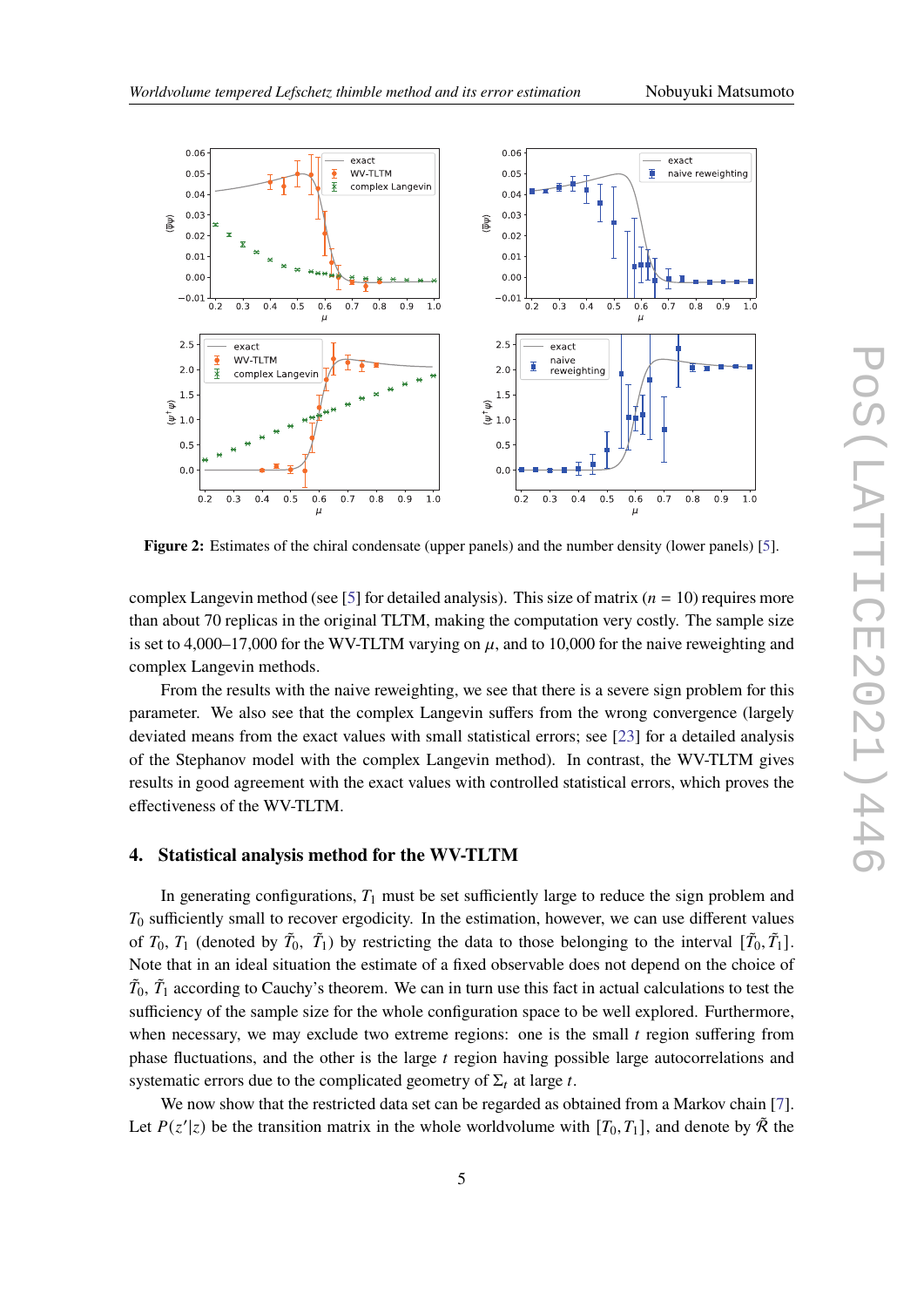

**Figure 2:** Estimates of the chiral condensate (upper panels) and the number density (lower panels) [5].

complex Langevin method (see [5] for detailed analysis). This size of matrix ( $n = 10$ ) requires more than about 70 replicas in the original TLTM, making the computation very costly. The sample size is set to 4,000–17,000 for the WV-TLTM varying on  $\mu$ , and to 10,000 for the naive reweighting and complex Langevin methods.

From the results with the naive reweighting, we see that there is a severe sign problem for this parameter. We also see that the complex Langevin suffers from the wrong convergence (largely deviated means from the exact values with small statistical errors; see [23] for a detailed analysis of the Stephanov model with the complex Langevin method). In contrast, the WV-TLTM gives results in good agreement with the exact values with controlled statistical errors, which proves the effectiveness of the WV-TLTM.

## **4. Statistical analysis method for the WV-TLTM**

In generating configurations,  $T_1$  must be set sufficiently large to reduce the sign problem and  $T_0$  sufficiently small to recover ergodicity. In the estimation, however, we can use different values of  $T_0$ ,  $T_1$  (denoted by  $\tilde{T}_0$ ,  $\tilde{T}_1$ ) by restricting the data to those belonging to the interval  $[\tilde{T}_0, \tilde{T}_1]$ . Note that in an ideal situation the estimate of a fixed observable does not depend on the choice of  $\tilde{T}_0$ ,  $\tilde{T}_1$  according to Cauchy's theorem. We can in turn use this fact in actual calculations to test the sufficiency of the sample size for the whole configuration space to be well explored. Furthermore, when necessary, we may exclude two extreme regions: one is the small  $t$  region suffering from phase fluctuations, and the other is the large  $t$  region having possible large autocorrelations and systematic errors due to the complicated geometry of  $\Sigma_t$  at large t.

We now show that the restricted data set can be regarded as obtained from a Markov chain [7]. Let  $P(z'|z)$  be the transition matrix in the whole worldvolume with  $[T_0, T_1]$ , and denote by  $\tilde{\mathcal{R}}$  the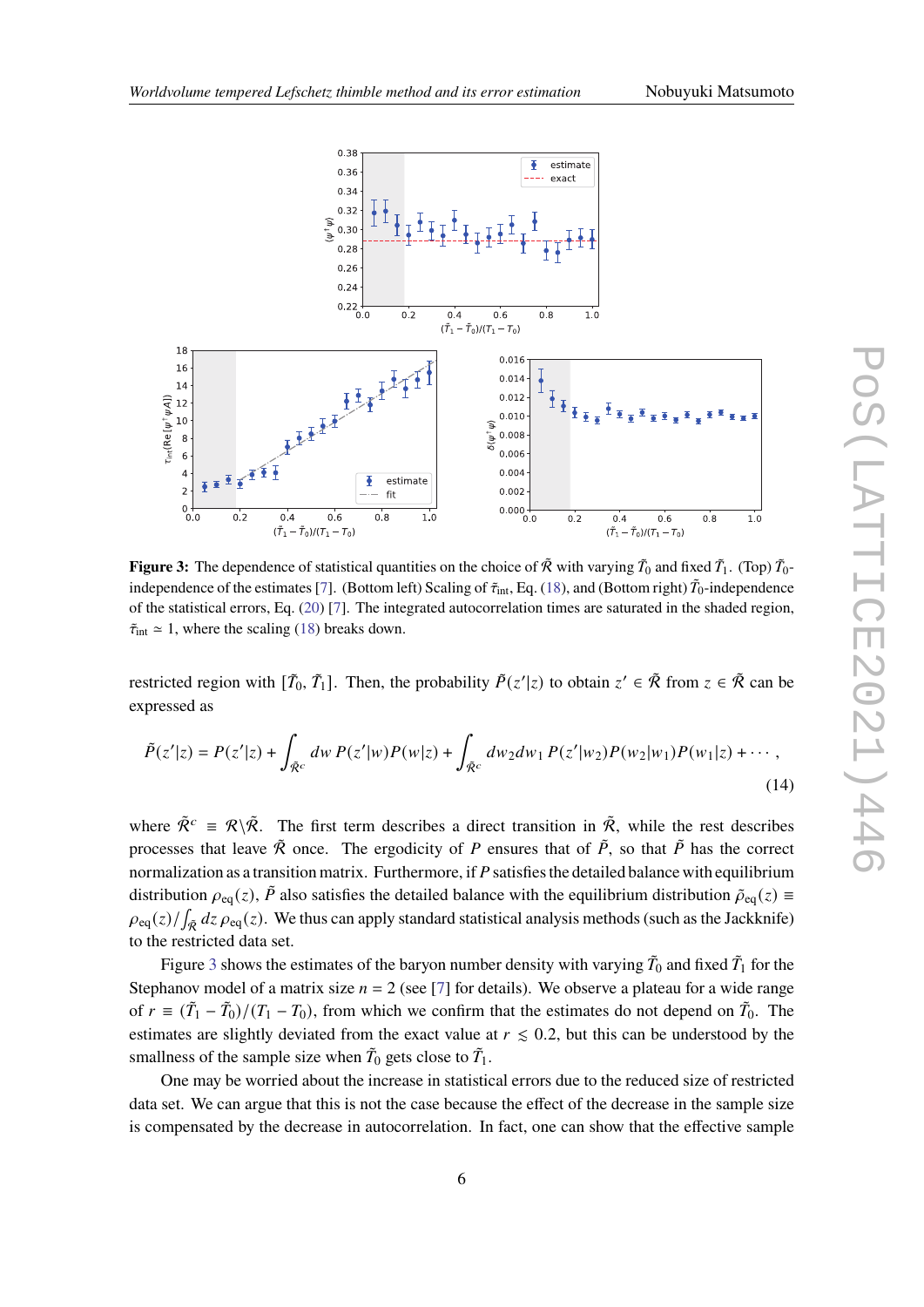

**Figure 3:** The dependence of statistical quantities on the choice of  $\tilde{\mathcal{R}}$  with varying  $\tilde{T}_0$  and fixed  $\tilde{T}_1$ . (Top)  $\tilde{T}_0$ independence of the estimates [7]. (Bottom left) Scaling of  $\tilde{\tau}_{int}$ , Eq. (18), and (Bottom right)  $\tilde{T}_0$ -independence of the statistical errors, Eq. (20) [7]. The integrated autocorrelation times are saturated in the shaded region,  $\tilde{\tau}_{int} \approx 1$ , where the scaling (18) breaks down.

restricted region with  $[\tilde{T}_0, \tilde{T}_1]$ . Then, the probability  $\tilde{P}(z'|z)$  to obtain  $z' \in \tilde{\mathcal{R}}$  from  $z \in \tilde{\mathcal{R}}$  can be expressed as

$$
\tilde{P}(z'|z) = P(z'|z) + \int_{\tilde{R}^c} dw \, P(z'|w) P(w|z) + \int_{\tilde{R}^c} dw_2 dw_1 \, P(z'|w_2) P(w_2|w_1) P(w_1|z) + \cdots,
$$
\n(14)

where  $\tilde{\mathcal{R}}^c \equiv \mathcal{R} \backslash \tilde{\mathcal{R}}$ . The first term describes a direct transition in  $\tilde{\mathcal{R}}$ , while the rest describes processes that leave  $\tilde{\mathcal{R}}$  once. The ergodicity of P ensures that of  $\tilde{P}$ , so that  $\tilde{P}$  has the correct normalization as a transition matrix. Furthermore, if P satisfies the detailed balance with equilibrium distribution  $\rho_{eq}(z)$ ,  $\tilde{P}$  also satisfies the detailed balance with the equilibrium distribution  $\tilde{\rho}_{eq}(z) \equiv$  $\rho_{\text{eq}}(z)/\int_{\tilde{\mathcal{R}}} dz \rho_{\text{eq}}(z)$ . We thus can apply standard statistical analysis methods (such as the Jackknife) to the restricted data set.

Figure 3 shows the estimates of the baryon number density with varying  $\tilde{T}_0$  and fixed  $\tilde{T}_1$  for the Stephanov model of a matrix size  $n = 2$  (see [7] for details). We observe a plateau for a wide range of  $r \equiv (\tilde{T}_1 - \tilde{T}_0)/(T_1 - T_0)$ , from which we confirm that the estimates do not depend on  $\tilde{T}_0$ . The estimates are slightly deviated from the exact value at  $r \leq 0.2$ , but this can be understood by the smallness of the sample size when  $\tilde{T}_0$  gets close to  $\tilde{T}_1$ .

One may be worried about the increase in statistical errors due to the reduced size of restricted data set. We can argue that this is not the case because the effect of the decrease in the sample size is compensated by the decrease in autocorrelation. In fact, one can show that the effective sample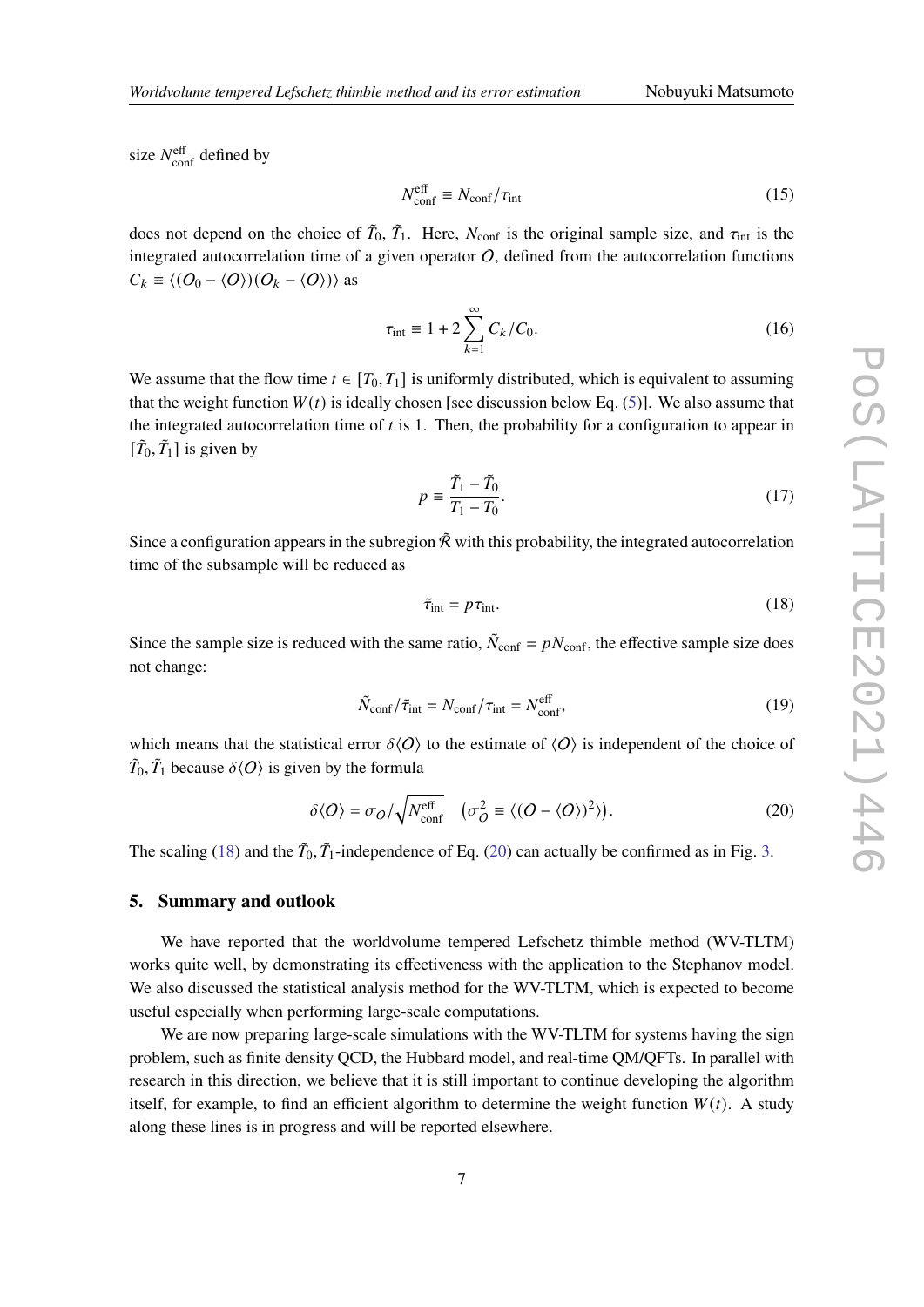size  $N_{\text{conf}}^{\text{eff}}$  defined by

$$
N_{\rm conf}^{\rm eff} \equiv N_{\rm conf} / \tau_{\rm int} \tag{15}
$$

does not depend on the choice of  $\tilde{T}_0$ ,  $\tilde{T}_1$ . Here,  $N_{conf}$  is the original sample size, and  $\tau_{int}$  is the integrated autocorrelation time of a given operator  $O$ , defined from the autocorrelation functions  $C_k \equiv \langle (O_0 - \langle O \rangle)(O_k - \langle O \rangle) \rangle$  as

$$
\tau_{\text{int}} \equiv 1 + 2 \sum_{k=1}^{\infty} C_k / C_0.
$$
 (16)

We assume that the flow time  $t \in [T_0, T_1]$  is uniformly distributed, which is equivalent to assuming that the weight function  $W(t)$  is ideally chosen [see discussion below Eq. (5)]. We also assume that the integrated autocorrelation time of  $t$  is 1. Then, the probability for a configuration to appear in  $[\tilde{T}_0, \tilde{T}_1]$  is given by

$$
p \equiv \frac{\tilde{T}_1 - \tilde{T}_0}{T_1 - T_0}.\tag{17}
$$

Since a configuration appears in the subregion  $\tilde{\mathcal{R}}$  with this probability, the integrated autocorrelation time of the subsample will be reduced as

$$
\tilde{\tau}_{\text{int}} = p \tau_{\text{int}}.\tag{18}
$$

Since the sample size is reduced with the same ratio,  $\tilde{N}_{\text{conf}} = pN_{\text{conf}}$ , the effective sample size does not change:

$$
\tilde{N}_{\text{conf}}/\tilde{\tau}_{\text{int}} = N_{\text{conf}}/\tau_{\text{int}} = N_{\text{conf}}^{\text{eff}},\tag{19}
$$

which means that the statistical error  $\delta\langle O \rangle$  to the estimate of  $\langle O \rangle$  is independent of the choice of  $\tilde{T}_0$ ,  $\tilde{T}_1$  because  $\delta\langle O \rangle$  is given by the formula

$$
\delta \langle O \rangle = \sigma_O / \sqrt{N_{\text{conf}}^{\text{eff}}} \quad (\sigma_O^2 \equiv \langle (O - \langle O \rangle)^2 \rangle). \tag{20}
$$

The scaling (18) and the  $\tilde{T}_0$ ,  $\tilde{T}_1$ -independence of Eq. (20) can actually be confirmed as in Fig. 3.

# **5. Summary and outlook**

We have reported that the worldvolume tempered Lefschetz thimble method (WV-TLTM) works quite well, by demonstrating its effectiveness with the application to the Stephanov model. We also discussed the statistical analysis method for the WV-TLTM, which is expected to become useful especially when performing large-scale computations.

We are now preparing large-scale simulations with the WV-TLTM for systems having the sign problem, such as finite density QCD, the Hubbard model, and real-time QM/QFTs. In parallel with research in this direction, we believe that it is still important to continue developing the algorithm itself, for example, to find an efficient algorithm to determine the weight function  $W(t)$ . A study along these lines is in progress and will be reported elsewhere.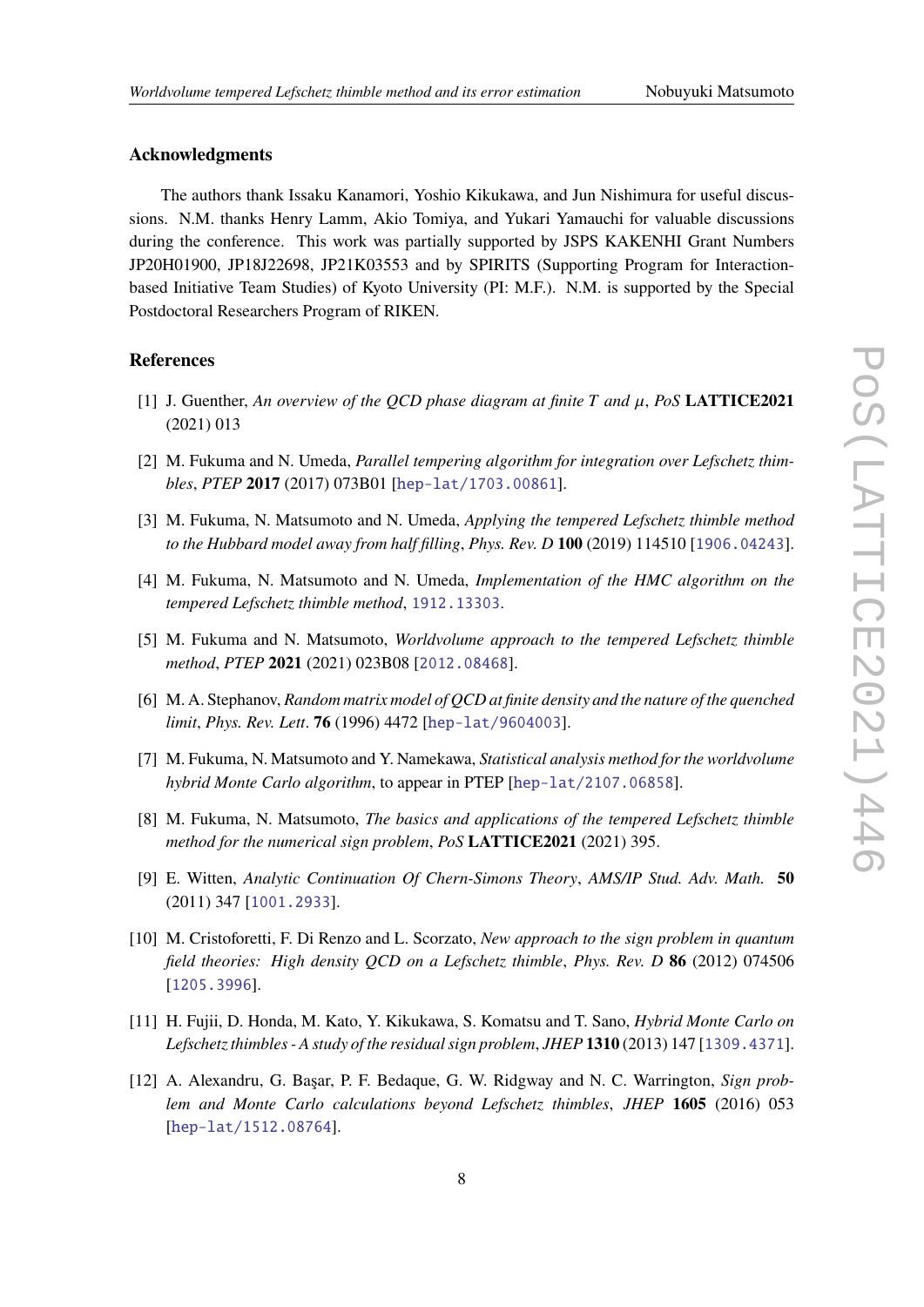## **Acknowledgments**

The authors thank Issaku Kanamori, Yoshio Kikukawa, and Jun Nishimura for useful discussions. N.M. thanks Henry Lamm, Akio Tomiya, and Yukari Yamauchi for valuable discussions during the conference. This work was partially supported by JSPS KAKENHI Grant Numbers JP20H01900, JP18J22698, JP21K03553 and by SPIRITS (Supporting Program for Interactionbased Initiative Team Studies) of Kyoto University (PI: M.F.). N.M. is supported by the Special Postdoctoral Researchers Program of RIKEN.

# **References**

- [1] J. Guenther, An overview of the OCD phase diagram at finite  $T$  and  $\mu$ , PoS **LATTICE2021** (2021) 013
- [2] M. Fukuma and N. Umeda, *Parallel tempering algorithm for integration over Lefschetz thimbles*, *PTEP* **2017** (2017) 073B01 [hep-lat/1703.00861].
- [3] M. Fukuma, N. Matsumoto and N. Umeda, *Applying the tempered Lefschetz thimble method to the Hubbard model away from half filling*, *Phys. Rev. D* **100** (2019) 114510 [1906.04243].
- [4] M. Fukuma, N. Matsumoto and N. Umeda, *Implementation of the HMC algorithm on the tempered Lefschetz thimble method*, 1912.13303.
- [5] M. Fukuma and N. Matsumoto, *Worldvolume approach to the tempered Lefschetz thimble method*, *PTEP* **2021** (2021) 023B08 [2012.08468].
- [6] M. A. Stephanov, *Random matrix model of QCD at finite density and the nature of the quenched limit*, *Phys. Rev. Lett*. **76** (1996) 4472 [hep-lat/9604003].
- [7] M. Fukuma, N. Matsumoto and Y. Namekawa, *Statistical analysis method for the worldvolume hybrid Monte Carlo algorithm*, to appear in PTEP [hep-lat/2107.06858].
- [8] M. Fukuma, N. Matsumoto, *The basics and applications of the tempered Lefschetz thimble method for the numerical sign problem*, *PoS* **LATTICE2021** (2021) 395.
- [9] E. Witten, *Analytic Continuation Of Chern-Simons Theory*, *AMS/IP Stud. Adv. Math.* **50** (2011) 347 [1001.2933].
- [10] M. Cristoforetti, F. Di Renzo and L. Scorzato, *New approach to the sign problem in quantum field theories: High density QCD on a Lefschetz thimble*, *Phys. Rev. D* **86** (2012) 074506 [1205.3996].
- [11] H. Fujii, D. Honda, M. Kato, Y. Kikukawa, S. Komatsu and T. Sano, *Hybrid Monte Carlo on Lefschetz thimbles - A study of the residual sign problem*, *JHEP* **1310** (2013) 147 [1309.4371].
- [12] A. Alexandru, G. Başar, P. F. Bedaque, G. W. Ridgway and N. C. Warrington, *Sign problem and Monte Carlo calculations beyond Lefschetz thimbles*, *JHEP* **1605** (2016) 053 [hep-lat/1512.08764].